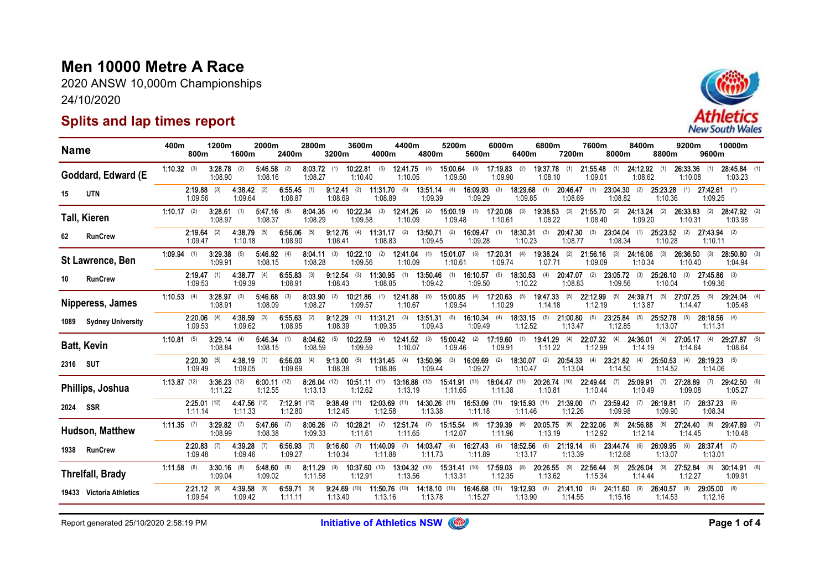## Men 10000 Metre A Race

2020 ANSW 10,000m Championships 24/10/2020

## Splits and lap times report



| <b>Name</b> |                          | 400m                | 800m                      | 1200m                 | 1600m                   | 2000m                     | 2400m                    | 2800m                     | 3200m                     | 3600m                             | 4000m                      | 4400m                     | 4800m                      | 5200m                     | 5600m                          | 6000m                    | 6400m                          | 6800m                    | 7200m                     | 7600m               | 8000m                     | 8400m                     | 8800m                     | 9200m               | 9600m                     | 10000m                    |  |
|-------------|--------------------------|---------------------|---------------------------|-----------------------|-------------------------|---------------------------|--------------------------|---------------------------|---------------------------|-----------------------------------|----------------------------|---------------------------|----------------------------|---------------------------|--------------------------------|--------------------------|--------------------------------|--------------------------|---------------------------|---------------------|---------------------------|---------------------------|---------------------------|---------------------|---------------------------|---------------------------|--|
|             | Goddard, Edward (E       | $1:10.32$ (3)       |                           | 3:28.78<br>1:08.90    | (2)                     | 5:46.58<br>1:08.16        | (2)                      | 8:03.72<br>1:08.27        | (1)                       | 10:22.81<br>1:10.40               | (5)                        | 12:41.75<br>1:10.05       | (4)                        | 15:00.64<br>1:09.50       | (3)                            | 17:19.83<br>1:09.90      | (2)                            | 19:37.78<br>1:08.10      | (1)                       | 21:55.48<br>1:09.01 | (1)                       | 24:12.92<br>1:08.62       | (1)                       | 26:33.36<br>1:10.08 | (1)                       | $28:45.84$ (1)<br>1:03.23 |  |
| 15          | <b>UTN</b>               |                     | 2:19.88<br>1:09.56        |                       | 4:38.42<br>1:09.64      | (2)                       | 6:55.45<br>1:08.87       | (1)                       | 9:12.41<br>1:08.69        | (2)                               | $11:31.70$ (5)<br>1:08.89  |                           | 13:51.14<br>1:09.39        | (4)                       | 16:09.93<br>1:09.29            | (3)                      | 18:29.68<br>1:09.85            | (1)                      | 20:46.47<br>1:08.69       | (1)                 | 23:04.30<br>1:08.82       | (2)                       | 25:23.28<br>1:10.36       | (1)                 | $27:42.61$ (1)<br>1:09.25 |                           |  |
|             | <b>Tall, Kieren</b>      | 1:10.17             | (2)                       | 3:28.61<br>1:08.97    | (1)                     | $5:47.16$ (5)<br>1:08.37  |                          | 8:04.35<br>1:08.29        | (4)                       | 10:22.34<br>1:09.58               | (3)                        | 12:41.26<br>1:10.09       | (2)                        | 15:00.19<br>1:09.48       | (1)                            | 17:20.08<br>1:10.61      | (3)                            | 19:38.53<br>1:08.22      | (3)                       | 21:55.70<br>1:08.40 | (2)                       | $24:13.24$ (2)<br>1:09.20 |                           | 26:33.83<br>1:10.31 | (2)                       | 28:47.92 (2)<br>1:03.98   |  |
| 62          | <b>RunCrew</b>           |                     | 2:19.64<br>1:09.47        | (2)                   | 4:38.79<br>1:10.18      | (5)                       | 6:56.06<br>1:08.90       | (5)                       | $9:12.76$ (4)<br>1:08.41  |                                   | 11:31.17<br>1:08.83        | (2)                       | 13:50.71<br>1:09.45        | (2)                       | 16:09.47<br>1:09.28            | (1)                      | 18:30.31<br>1:10.23            | (3)                      | 20:47.30<br>1:08.77       | (3)                 | $23:04.04$ (1)<br>1:08.34 |                           | 25:23.52<br>1:10.28       | (2)                 | $27:43.94$ (2)<br>1:10.11 |                           |  |
|             | St Lawrence, Ben         | <b>1:09.94</b> (1)  |                           | 3:29.38<br>1:09.91    | (5)                     | $5:46.92$ (4)<br>1:08.15  |                          | 8:04.11<br>1:08.28        | (3)                       | <b>10:22.10</b> (2)<br>1:09.56    |                            | 12:41.04<br>1:10.09       | (1)                        | $15:01.07$ (5)<br>1:10.61 |                                | 17:20.31<br>1:09.74      | (4)                            | 19:38.24<br>1:07.71      | (2)                       | 21:56.16<br>1:09.09 | (3)                       | 24:16.06<br>1:10.34       | (3)                       | 26:36.50<br>1:10.40 | (3)                       | $28:50.80$ (3)<br>1:04.94 |  |
| 10          | <b>RunCrew</b>           |                     | 2:19.47<br>1:09.53        | (1)                   | 4:38.77<br>1:09.39      | (4)                       | $6:55.83$ (3)<br>1:08.91 |                           | $9:12.54$ (3)<br>1:08.43  |                                   | $11:30.95$ (1)<br>1:08.85  |                           | $13:50.46$ (1)<br>1:09.42  |                           | <b>16:10.57</b> (5)<br>1:09.50 |                          | <b>18:30.53</b> (4)<br>1:10.22 |                          | $20:47.07$ (2)<br>1:08.83 |                     | $23:05.72$ (3)<br>1:09.56 |                           | $25:26.10$ (3)<br>1:10.04 |                     | $27:45.86$ (3)<br>1:09.36 |                           |  |
|             | Nipperess, James         | 1:10.53             | (4)                       | 3:28.97<br>1:08.91    | (3)                     | $5.46.68$ (3)<br>1:08.09  |                          | $8:03.90$ (2)<br>1:08.27  |                           | 10:21.86<br>1:09.57               | (1)                        | 12.41.88<br>1:10.67       | (5)                        | 15.00.85<br>1:09.54       | (4)                            | 17:20.63<br>1:10.29      | (5)                            | 19:47:33<br>1:14.18      | (5)                       | 22:12.99<br>1:12.19 | (5)                       | 24:39.71<br>1:13.87       | (5)                       | 27:07.25<br>1:14.47 | (5)                       | $29:24.04$ (4)<br>1:05.48 |  |
| 1089        | <b>Sydney University</b> |                     | 2.20.06<br>1:09.53        |                       | 4 38 59<br>1:09.62      |                           | 6:55.63<br>1:08.95       | (2)                       | 9.12.29<br>1:08.39        | (1)                               | 11:31.21<br>1:09.35        | (3)                       | 13:51.31<br>1:09.43        | (5)                       | 16:10.34<br>1:09.49            | (4)                      | 18:33.15<br>1:12.52            | (5)                      | 21:00.80<br>1:13.47       | (5)                 | 23:25.84<br>1:12.85       | (5)                       | 25:52.78<br>1:13.07       | (5)                 | $28:18.56$ (4)<br>1:11.31 |                           |  |
|             | <b>Batt, Kevin</b>       | $1:10.81$ (5)       |                           | 3:29.14<br>1:08.84    | (4)                     | 5:46.34<br>1:08.15        | (1)                      | 8:04.62<br>1:08.59        | (5)                       | 10:22.59<br>1:09.59               | (4)                        | $12:41.52$ (3)<br>1:10.07 |                            | $15:00.42$ (2)<br>1:09.46 |                                | 17:19.60<br>1:09.91      | (1)                            | 19:41.29<br>1:11.22      | (4)                       | 22:07.32<br>1:12.99 | (4)                       | 24:36.01<br>1:14.19       | (4)                       | 27:05.17<br>1:14.64 | (4)                       | $29:27.87$ (5)<br>1:08.64 |  |
| 2316 SUT    |                          |                     | 2:20.30<br>1:09.49        | (5)                   | 4:38.19<br>1:09.05      | (1)                       | $6:56.03$ (4)<br>1:09.69 |                           | $9:13.00$ (5)<br>1:08.38  |                                   | 11:31.45<br>1:08.86        | (4)                       | 13:50.96<br>1:09.44        | (3)                       | 16:09.69<br>1:09.27            | (2)                      | 18:30.07<br>1:10.47            | (2)                      | 20:54.33<br>1:13.04       | (4)                 | 23:21.82<br>1:14.50       | (4)                       | 25:50.53<br>1:14.52       | (4)                 | $28:19.23$ (5)<br>1:14.06 |                           |  |
|             | Phillips, Joshua         | <b>1:13.87</b> (12) |                           | 3:3623(12)<br>1:11.22 |                         | $6:00.11$ (12)<br>1:12.55 |                          | $8:26.04$ (12)<br>1:13.13 |                           | <b>10:51.11</b> $(11)$<br>1:12.62 |                            | 13:16.88 (12)<br>1:13.19  |                            | 1:11.65                   | 15.41.91 (11)                  | 18:04.47 (11)<br>1:11.38 |                                | 20:26.74 (10)<br>1:10.81 |                           | 22.49.44<br>1:10.44 | (7)                       | 25.09.91<br>1:10.49       | (7)                       | 27:28.89<br>1:09.08 |                           | 29.42.50 (6)<br>1:05.27   |  |
| 2024 SSR    |                          |                     | $2.25.01$ (12)<br>1:11.14 |                       | 4.47.56 (12)<br>1:11.33 |                           | 7.12.91(12)<br>1:12.80   |                           | $9.38.49$ (11)<br>1:12.45 |                                   | $12:03.69$ (11)<br>1:12.58 |                           | 14:30.26 (11)<br>1:13.38   |                           | 16:53.09 (11)<br>1:11.18       |                          | 19:15.93 (11)<br>1:11.46       |                          | $21:39.00$ (7)<br>1:12.26 |                     | $23:59.42$ (7)<br>1:09.98 |                           | 26:19.81<br>1.09.90       | (7)                 | 28:37.23 (6)<br>1:08.34   |                           |  |
|             | Hudson, Matthew          | 1:11.35             | (7)                       | 3:29.82<br>1:08.99    | (7)                     | 5:47.66<br>1:08.38        | (7)                      | 8:06.26<br>1:09.33        | (7)                       | 10:28.21<br>1:11.61               | (7)                        | 12:51.74<br>1:11.65       | (7)                        | 1:12.07                   | 15:15.54 (6)                   | 17:39.39<br>1:11.96      | (6)                            | 20:05.75<br>1:13.19      | (6)                       | 22:32.06<br>1:12.92 | (6)                       | 24:56.88<br>1:12.14       | (6)                       | 27:24.40<br>1:14.45 | (6)                       | 29:47.89 (7)<br>1:10.48   |  |
| 1938        | <b>RunCrew</b>           |                     | 2:20.83<br>1:09.48        |                       | 4:39.28<br>1:09.46      |                           | 6:56.93<br>1:09.27       | (7)                       | 9:16.60<br>1:10.34        | (7)                               | 11:40.09<br>1:11.88        | (7)                       | 14:03.47<br>1:11.73        | (6)                       | 16:27.43<br>1:11.89            | (6)                      | 18:52.56<br>1:13.17            | (6)                      | 21:19.14<br>1:13.39       | (6)                 | 23:44.74<br>1:12.68       | (6)                       | 26:09.95<br>1:13.07       | (6)                 | $28:37.41$ (7)<br>1:13.01 |                           |  |
|             | <b>Threlfall, Brady</b>  | 1:11.58             | (8)                       | 3:30.16<br>1:09.04    | (8)                     | 5:48.60<br>1:09.02        | (8)                      | 8:11.29<br>1:11.58        | (9)                       | 10:37.60 (10)<br>1:12.91          |                            | 13:04.32 (10)<br>1:13.56  |                            | 15:31.41 (10)<br>1:13.31  |                                | 17:59.03<br>1:12.35      | (8)                            | 20:26.55<br>1:13.62      | (9)                       | 22:56.44<br>1:15.34 | (9)                       | 25:26.04<br>1:14.44       | (9)                       | 27:52.84<br>1:12.27 | (8)                       | 30:14.91 (8)<br>1:09.91   |  |
|             | 19433 Victoria Athletics |                     | $2.21.12$ (8)<br>1:09.54  |                       | 4:39.58<br>1:09.42      | (8)                       | 6:59.71<br>1:11.11       | (9)                       | $9.24.69$ (10)<br>1:13.40 |                                   | 11:50.76 (10)<br>1:13.16   |                           | $14:18.10$ (10)<br>1:13.78 |                           | 16:46.68 (10)<br>1:15.27       |                          | 19:12.93<br>1:13.90            | (8)                      | $21:41.10$ (9)<br>1:14.55 |                     | $24:11.60$ (9)<br>1:15.16 |                           | 26:40.57<br>1:14.53       | (8)                 | $29:05.00$ (8)<br>1:12.16 |                           |  |

Report generated 25/10/2020 2:58:19 PM **Initiative of Athletics NSW (@D** And Constant of Athletics NSW Page 1 of 4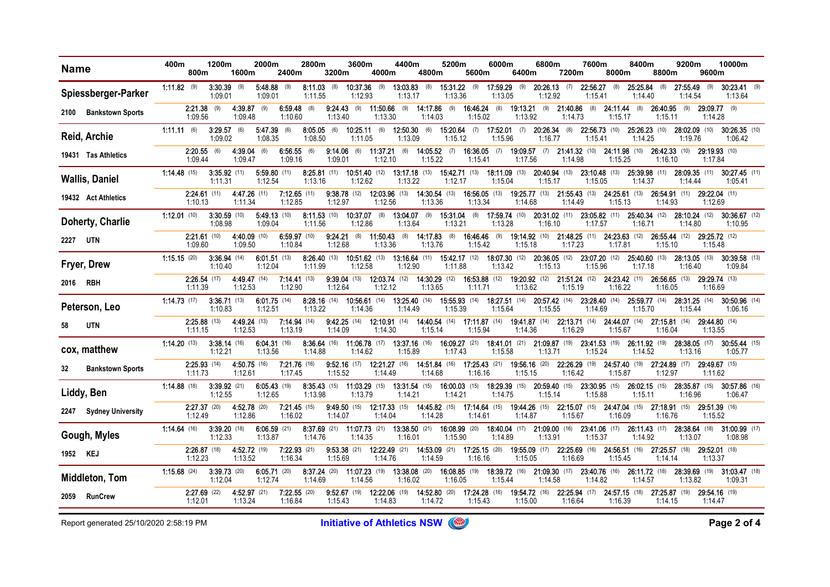| <b>Name</b>                      | 400m<br>800m          | 1200m                     | 1600m                   | 2000m                     | 2400m                     | 2800m                                 | 3200m                            | 3600m                             | 4000m                             | 4400m                      | 4800m                                                                              | 5200m                      | 5600m                           | 6000m                                  | 6400m                           | 6800m                       | 7200m                      | 7600m                      | 8000m                           | 8400m                                  | 8800m                           | 9200m                                                | 9600m                    | 10000m                          |  |
|----------------------------------|-----------------------|---------------------------|-------------------------|---------------------------|---------------------------|---------------------------------------|----------------------------------|-----------------------------------|-----------------------------------|----------------------------|------------------------------------------------------------------------------------|----------------------------|---------------------------------|----------------------------------------|---------------------------------|-----------------------------|----------------------------|----------------------------|---------------------------------|----------------------------------------|---------------------------------|------------------------------------------------------|--------------------------|---------------------------------|--|
| Spiessberger-Parker              | <b>1:11.82</b> (9)    | 3:30.39<br>1:09.01        | (9)                     | 5:48.88<br>1:09.01        | (9)                       | 8:11.03<br>1:11.55                    | (8)                              | 10:37.36<br>1:12.93               | (9)                               | 13:03.83<br>1:13.17        | (8)                                                                                | $15:31.22$ (9)<br>1:13.36  |                                 | 17:59.29<br>1:13.05                    | (9)                             | 20:26.13<br>1:12.92         | (7)                        | 22:56.27<br>1:15.41        | (8)                             | 25:25.84<br>1:14.40                    | (8)                             | 27:55.49<br>1:14.54                                  | (9)                      | $30:23.41$ (9)<br>1:13.64       |  |
| <b>Bankstown Sports</b><br>2100  | 1:09.56               | $2:21.38$ (9)             | 4:39.87<br>1:09.48      | (9)                       | 6:59.48<br>1:10.60        | (8)                                   | $9:24.43$ (9)<br>1:13.40         |                                   | 11:50.66<br>1:13.30               | (9)                        | $14:17.86$ (9)<br>1:14.03                                                          |                            | 16:46.24 (8)<br>1:15.02         |                                        | <b>19:13.21</b> (9)<br>1:13.92  |                             | 21:40.86<br>1:14.73        | (8)                        | $24:11.44$ (8)<br>1:15.17       |                                        | $26:40.95$ (9)<br>1:15.11       |                                                      | 29:09.77 (9)<br>1:14.28  |                                 |  |
| Reid, Archie                     | 1:11.11(6)            | 3.29.57<br>1:09.02        | (6)                     | 5:47.39<br>1:08.35        | (6)                       | $8:05.05$ (6)<br>1:08.50              |                                  | $10.25.11$ (6)<br>1:11.05         |                                   | 12:50.30<br>1:13.09        | (6)                                                                                | 15.20.64<br>1:15.12        |                                 | $(7)$ <b>17:52.01</b> $(7)$<br>1:15.96 |                                 | 20:26.34<br>1:16.77         | (8)                        | 22:56.73 (10)<br>1:15.41   |                                 | 25 26 23 (10)<br>1:14.25               |                                 | 28:02.09 (10)<br>1:19.76                             |                          | 30.26.35 (10)<br>1:06.42        |  |
| 19431 Tas Athletics              | 1:09.44               | $2.20.55$ (6)             | 4:39.04<br>1.09.47      | (6)                       | 6:56.55<br>1.09.16        | (6)                                   | $9.14.06$ (6)<br>1:09.01         |                                   | 11:37.21<br>1:12.10               | (6)                        | <b>14.05.52</b> (7)<br>1:15.22                                                     |                            | 16:36.05<br>1:15.41             | (7)                                    | 1:17.56                         | 19:09.57 (7) 21:41.32 (10)  | 1:14.98                    |                            | 24:11.98 (10)<br>1:15.25        |                                        | <b>26:42.33</b> (10)<br>1:16.10 |                                                      | 29:19.93 (10)<br>1:17.84 |                                 |  |
| <b>Wallis, Daniel</b>            | <b>1:14.48</b> (15)   | $3:35.92$ (11)<br>1:11.31 |                         | $5:59.80$ (11)<br>1:12.54 |                           | $8:25.81$ (11)<br>1:13.16             |                                  | <b>10:51.40</b> $(12)$<br>1:12.62 |                                   | $13:17.18$ (13)<br>1:13.22 |                                                                                    | 15:42.71 (13)<br>1:12.17   |                                 | 18:11.09 (13)<br>1:15.04               |                                 | 20:40.94 (13)<br>1:15.17    |                            | $23:10.48$ (13)<br>1:15.05 |                                 | 25:39.98 (11)<br>1:14.37               |                                 | 28:09.35 (11)<br>1:14.44                             |                          | 30:27.45 (11)<br>1:05.41        |  |
| 19432 Act Athletics              | 1:10.13               | $2:24.61$ (11)            | 4:47.26 (11)<br>1:11.34 |                           | $7:12.65$ (11)<br>1:12.85 |                                       | $9:38.78$ (12)<br>1:12.97        |                                   | 12:03.96 (13)<br>1:12.56          |                            | 14:30.54 (13)<br>1:13.36                                                           |                            | <b>16:56.05</b> (13)<br>1:13.34 |                                        | 19:25.77 (13)<br>1:14.68        |                             | 21:55.43 (13)<br>1:14.49   |                            | 24:25.61 (13)<br>1:15.13        |                                        | 26:54.91 (11)<br>1:14.93        |                                                      | 29:22.04 (11)<br>1:12.69 |                                 |  |
| Doherty, Charlie                 | $1:12.01$ (10)        | $3:30.59$ (10)<br>1:08.98 |                         | $5:49.13$ (10)<br>1:09.04 |                           | 8:11.53(10)<br>1:11.56                |                                  | 10:37.07 (8)<br>1:12.86           |                                   | 1:13.64                    | 13:04.07 (9) 15:31.04 (8) 17:59.74 (10) 20:31.02 (11)                              | 1:13.21                    |                                 | 1:13.28                                |                                 | 1:16.10                     |                            | 1:17.57                    |                                 | 1:16.71                                |                                 | 23.05.82 (11) 25:40.34 (12) 28:10.24 (12)<br>1:14.80 |                          | 30:36.67 (12)<br>1:10.95        |  |
| <b>UTN</b><br>2227               | 1:09.60               | $2.21.61$ (10)            | 4:40.09 (10)<br>1:09.50 |                           | $6:59.97$ (10)<br>1:10.84 |                                       | 9:24.21<br>1:12.68               | (8)                               | 11:50.43<br>1:13.36               | (8)                        | 14:17.83 (8)<br>1.13.76                                                            |                            | 16:46.46<br>1:15.42             | (9)                                    | 1:15.18                         | 19:14.92 (10) 21:48.25 (11) | 1:17.23                    |                            | <b>24:23.63</b> (12)<br>1:17.81 |                                        | 26:55.44 (12)<br>1:15.10        |                                                      | 29:25.72 (12)<br>1:15.48 |                                 |  |
| Fryer, Drew                      | 1:15.15(20)           | $3:36.94$ (14)<br>1:10.40 |                         | $6:01.51$ (13)<br>1:12.04 |                           | 8:26.40(13)<br>1:11.99                |                                  | <b>10:51.62</b> $(13)$<br>1:12.58 |                                   | 13:16.64 (11)<br>1:12.90   |                                                                                    | 15:42.17 (12)<br>1:11.88   |                                 | 18:07.30 (12)<br>1:13.42               |                                 | 20:36.05 (12)<br>1:15.13    |                            | 23:07.20 (12)<br>1:15.96   |                                 | 25:40.60 (13)<br>1:17.18               |                                 | 28:13.05 (13)<br>1:16.40                             |                          | 30:39.58 (13)<br>1:09.84        |  |
| <b>RBH</b><br>2016               | 1:11.39               | $2:26.54$ (17)            | 4:49.47 (14)<br>1:12.53 |                           | $7:14.41$ (13)<br>1:12.90 |                                       | $9:39.04$ (13)<br>1:12.64        |                                   | 12:03.74 (12)<br>1:12.12          |                            | 14:30.29 (12)<br>1:13.65                                                           |                            | 16:53.88 (12)<br>1:11.71        |                                        | 19:20.92 (12)<br>1:13.62        |                             | $21:51.24$ (12)<br>1:15.19 |                            | 24:23.42 (11)<br>1:16.22        |                                        | 26:56.65 (13)<br>1:16.05        |                                                      | 29:29.74 (13)<br>1:16.69 |                                 |  |
| Peterson, Leo                    | <b>1:14.73</b> $(17)$ | 3:36.71(13)<br>1:10.83    |                         | $6:01.75$ (14)<br>1:12.51 |                           | $8:28.16$ (14)<br>1:13.22             |                                  | 10:56.61 (14)<br>1:14.36          |                                   | 1:14.49                    | 13:25.40 (14) 15:55.93 (14)                                                        | 1:15.39                    |                                 | 18:27.51 (14)<br>1:15.64               |                                 | 20:57.42 (14)<br>1:15.55    |                            | 23.28.40 (14)<br>1:14.69   |                                 | 25.59.77 (14)<br>1:15.70               |                                 | 28:31.25 (14)<br>1:15.44                             |                          | <b>30.50.96</b> (14)<br>1:06.16 |  |
| <b>UTN</b><br>58                 | 1:11.15               | $2.25.88$ (13)            | 4:49.24 (13)<br>1:12.53 |                           | $7:14.94$ (14)<br>1.13.19 |                                       | $9.42.25$ (14)<br>1:14.09        |                                   | <b>12:10.91</b> $(14)$<br>1:14.30 |                            | <b>14:40.54</b> (14) <b>17:11.87</b> (14)<br>1:15.14                               |                            | 1:15.94                         |                                        | 19:41.87 (14)<br>1:14.36        |                             | $22:13.71$ (14)<br>1:16.29 |                            | <b>24:44.07</b> (14)<br>1:15.67 |                                        | $27:15.81$ (14)<br>1:16.04      |                                                      | 29:44.80 (14)<br>1:13.55 |                                 |  |
| cox, matthew                     | 1:14.20(13)           | 3:38.14(16)<br>1:12.21    |                         | $6:04.31$ (16)<br>1:13.56 |                           | 8:36.64 (16) 11:06.78 (17)<br>1:14.88 |                                  | 1:14.62                           |                                   | 13:37.16 (16)<br>1:15.89   |                                                                                    | $16:09.27$ (21)<br>1:17.43 |                                 | 18:41.01 (21) 21:09.87 (19)<br>1:15.58 |                                 | 1:13.71                     |                            | 23:41.53 (19)<br>1:15.24   |                                 | 26:11.92 (19)<br>1:14.52               |                                 | 28:38.05 (17)<br>1:13.16                             |                          | 30:55.44 (15)<br>1:05.77        |  |
| <b>Bankstown Sports</b><br>32    | 1:11.73               | $2.25.93$ (14)            | 4:50.75 (16)<br>1:12.61 |                           | $7:21.76$ (16)<br>1:17.45 |                                       | $9:52.16$ (17)<br>1:15.52        |                                   | 12:21.27 (16)<br>1:14.49          |                            | 14:51.84 (16)<br>1:14.68                                                           |                            | $17:25.43$ (21)<br>1:16.16      |                                        | 19:56.16 (20)<br>1:15.15        |                             | 22:26.29 (19)<br>1:16.42   |                            | 24:57.40 (19)<br>1:15.87        |                                        | 27:24.89 (17)<br>1:12.97        |                                                      | 29:49.67 (15)<br>1:11.62 |                                 |  |
| Liddy, Ben                       | <b>1:14.88</b> (18)   | $3:39.92$ (21)<br>1:12.55 |                         | $6:05.43$ (19)<br>1:12.65 |                           | 1:13.98                               |                                  | 1:13.79                           |                                   | 1:14.21                    | 8:35.43 (15) 11:03.29 (15) 13:31.54 (15) 16:00.03 (15) 18:29.39 (15) 20:59.40 (15) | 1:14.21                    |                                 | 1:14.75                                |                                 | 1:15.14                     |                            | 1:15.88                    |                                 | 23.30.95 (15) 26.02.15 (15)<br>1:15.11 |                                 | 28:35.87 (15)<br>1:16.96                             |                          | 30.57.86 (16)<br>1:06.47        |  |
| <b>Sydney University</b><br>2247 | 1:12.49               | $2.27.37$ (20)            | 4.52.78 (20)<br>1:12.86 |                           | $7:21.45$ (15)<br>1:16.02 |                                       | <b>9:49.50</b> $(15)$<br>1:14.07 |                                   | <b>12:17.33</b> (15)<br>1:14.04   |                            | <b>14:45.82</b> (15) <b>17:14.64</b> (15)<br>1:14.28                               |                            | 1:14.61                         |                                        | <b>19:44.26</b> (15)<br>1:14.87 |                             | $22:15.07$ (15)<br>1:15.67 |                            | 1:16.09                         | 24:47.04 (15) 27:18.91 (15)            | 1:16.76                         |                                                      | 29:51.39 (16)<br>1:15.52 |                                 |  |
| Gough, Myles                     | <b>1:14.64</b> (16)   | $3:39.20$ (18)<br>1:12.33 |                         | $6:06.59$ (21)<br>1:13.87 |                           | 8:37.69 (21) 11:07.73 (21)<br>1:14.76 |                                  | 1:14.35                           |                                   | 13:38.50 (21)<br>1:16.01   |                                                                                    | 16:08.99 (20)<br>1:15.90   |                                 | 18:40.04 (17) 21:09.00 (16)<br>1:14.89 |                                 | 1:13.91                     |                            | 23:41.06 (17)<br>1:15.37   |                                 | 26:11.43 (17)<br>1:14.92               |                                 | 28:38.64 (18)<br>1:13.07                             |                          | 31:00.99 (17)<br>1:08.98        |  |
| 1952<br>KEJ                      | 1:12.23               | $2:26.87$ (18)            | 4:52.72 (19)<br>1:13.52 |                           | $7:22.93$ (21)<br>1:16.34 |                                       | $9:53.38$ (21)<br>1:15.69        |                                   | $12:22.49$ (21)<br>1:14.76        |                            | 14:53.09 (21) 17:25.15 (20)<br>1:14.59                                             |                            | 1:16.16                         |                                        | 19:55.09 (17)<br>1:15.05        |                             | 22:25.69 (16)<br>1:16.69   |                            | 24:56.51 (16)<br>1:15.45        |                                        | 27:25.57 (18)<br>1.14.14        |                                                      | 29:52.01 (18)<br>1:13.37 |                                 |  |
| <b>Middleton, Tom</b>            | <b>1:15.68</b> (24)   | 3:39.73(20)<br>1:12.04    |                         | 6:05.71(20)<br>1:12.74    |                           | 8:37.24 (20) 11:07.23 (19)<br>1:14.69 |                                  | 1:14.56                           |                                   | 1:16.02                    | 13:38.08 (20) 16:08.85 (19) 18:39.72 (16) 21:09.30 (17) 23:40.76 (16)              | 1:16.05                    |                                 | 1:15.44                                |                                 | 1:14.58                     |                            | 1:14.82                    |                                 | 26.11.72 (18)<br>1:14.57               |                                 | 28:39.69 (19)<br>1:13.82                             |                          | <b>31 03.47</b> (18)<br>1:09.31 |  |
| <b>RunCrew</b><br>2059           | 1:12.01               | $2.27.69$ (22)            | 4.52.97 (21)<br>1:13.24 |                           | $7:22.55$ (20)<br>1:16.84 |                                       | $9.52.67$ (19)<br>1:15.43        |                                   | <b>12:22.06</b> (19)<br>1:14.83   |                            | 14:52.80 (20)<br>1:14.72                                                           |                            | <b>17:24.28</b> (16)<br>1:15.43 |                                        | <b>19:54.72</b> (16)<br>1:15.00 |                             | 22:25.94 (17)<br>1:16.64   |                            | 24:57.15 (18)<br>1:16.39        |                                        | 27:25.87 (19)<br>1:14.15        |                                                      | 29:54.16 (19)<br>1:14.47 |                                 |  |

Report generated 25/10/2020 2:58:19 PM **Initiative of Athletics NSW COD CONSTRU**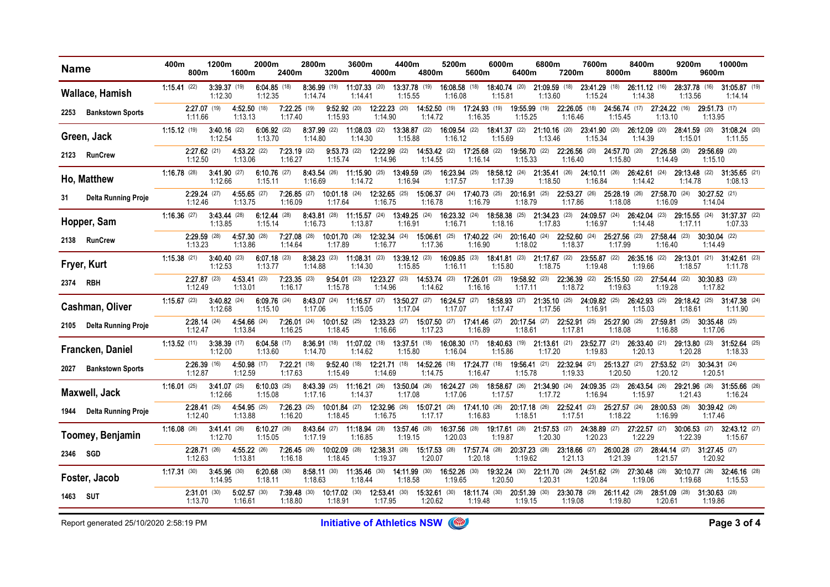| <b>Name</b>                      | 400m                  | 800m                      | 1200m                     | 1600m                     | 2000m                     | 2400m                     | 2800m                     | 3200m                             | 3600m                                 | 4000m                           | 4400m                                                                    | 4800m                                                                              | 5200m                           | 5600m                                     | 6000m                           | 6400m                                     | 6800m                      | 7200m                           | 7600m                                                                            | 8000m                           | 8400m                      | 8800m                      | 9200m                           | 9600m                           | 10000m                          |
|----------------------------------|-----------------------|---------------------------|---------------------------|---------------------------|---------------------------|---------------------------|---------------------------|-----------------------------------|---------------------------------------|---------------------------------|--------------------------------------------------------------------------|------------------------------------------------------------------------------------|---------------------------------|-------------------------------------------|---------------------------------|-------------------------------------------|----------------------------|---------------------------------|----------------------------------------------------------------------------------|---------------------------------|----------------------------|----------------------------|---------------------------------|---------------------------------|---------------------------------|
| Wallace, Hamish                  | $1:15.41$ (22)        |                           | 3:39.37 (19)<br>1:12.30   |                           | $6:04.85$ (18)<br>1:12.35 |                           | $8:36.99$ (19)<br>1:14.74 |                                   | $11:07.33$ (20)<br>1:14.41            |                                 | 13:37.78 (19)<br>1:15.55                                                 |                                                                                    | 16:08.58 (18)<br>1:16.08        |                                           | 18:40.74 (20)<br>1:15.81        |                                           | 21:09.59 (18)<br>1:13.60   |                                 | 23:41.29 (18)<br>1:15.24                                                         |                                 | 26:11.12 (16)<br>1:14.38   |                            | 28:37.78 (16)<br>1:13.56        |                                 | 31:05.87 (19)<br>1:14.14        |
| <b>Bankstown Sports</b><br>2253  |                       | 2:27.07 (19)<br>1:11.66   |                           | 4:52.50 (18)<br>1:13.13   |                           | $7:22.25$ (19)<br>1:17.40 |                           | $9:52.92$ (20)<br>1:15.93         |                                       | $12:22.23$ (20)<br>1:14.90      |                                                                          | <b>14:52.50</b> (19) <b>17:24.93</b> (19)<br>1:14.72                               |                                 | 1:16.35                                   |                                 | 19:55.99 (19)<br>1:15.25                  |                            | 22:26.05 (18)<br>1.16.46        |                                                                                  | 24:56.74 (17)<br>1:15.45        |                            | 27:24.22 (16)<br>1:13.10   |                                 | 29:51.73 (17)<br>1:13.95        |                                 |
| Green, Jack                      | $1:15.12$ (19)        |                           | $3.40.16$ (22)<br>1:12.54 |                           | $6:06.92$ (22)<br>1:13.70 |                           | 1:14.80                   |                                   | 1:14.30                               |                                 | 8:37.99 (22) 11:08.03 (22) 13:38.87 (22)<br>1:15.88                      |                                                                                    | 16:09.54 (22)<br>1:16.12        |                                           | 1:15.69                         | 18.41.37 (22) 21.10.16 (20)               | 1:13.46                    |                                 | 23.41.90 (20)<br>1:15.34                                                         |                                 | 26.12.09 (20)<br>1:14.39   |                            | <b>28.41.59</b> (20)<br>1:15.01 |                                 | 31.08.24 (20)<br>1:11.55        |
| <b>RunCrew</b><br>2123           |                       | $2.27.62$ (21)<br>1:12.50 |                           | 4.53.22 (22)<br>1:13.06   |                           | $7:23.19$ (22)<br>1:16.27 |                           | 9.53.73(22)<br>1:15.74            |                                       | 12:22.99 (22)<br>1:14.96        |                                                                          | <b>14:53.42</b> (22)<br>1:14.55                                                    |                                 | <b>17:25.68</b> (22)<br>1:16.14           |                                 | <b>19:56.70</b> (22)<br>1:15.33           |                            | $22:26.56$ (20)<br>1:16.40      |                                                                                  | <b>24:57.70</b> (20)<br>1:15.80 |                            | 27:26.58 (20)<br>1:14.49   |                                 | 29:56.69 (20)<br>1:15.10        |                                 |
| Ho, Matthew                      | 1:16.78(28)           |                           | $3:41.90$ (27)<br>1:12.66 |                           | $6:10.76$ (27)<br>1:15.11 |                           | 1:16.69                   |                                   | 8:43.54 (26) 11:15.90 (25)<br>1:14.72 |                                 | 13:49.59 (25)<br>1:16.94                                                 |                                                                                    | 16:23.94 (25)<br>1:17.57        |                                           | 1:17.39                         | 18:58.12 (24) 21:35.41 (26)               | 1:18.50                    |                                 | $24:10.11$ (26)<br>1:16.84                                                       |                                 | $26:42.61$ (24)<br>1:14.42 |                            | 29:13.48 (22)<br>1:14.78        |                                 | $31:35.65$ (21)<br>1:08.13      |
| <b>Delta Running Proje</b><br>31 |                       | $2:29.24$ (27)<br>1:12.46 |                           | $4:55.65$ (27)<br>1:13.75 |                           | $7:26.85$ (27)<br>1:16.09 |                           | <b>10:01.18</b> $(24)$<br>1:17.64 |                                       | $12:32.65$ (25)<br>1:16.75      |                                                                          | $15:06.37$ (24)<br>1:16.78                                                         |                                 | <b>17:40.73</b> (25)<br>1:16.79           |                                 | 20:16.91 (25)<br>1:18.79                  |                            | 22:53.27 (26)<br>1:17.86        |                                                                                  | 25:28.19 (26)<br>1:18.08        |                            | 27:58.70 (24)<br>1:16.09   |                                 | $30:27.52$ (21)<br>1:14.04      |                                 |
| Hopper, Sam                      | $1:16.36$ (27)        |                           | 3:43.44 (28)<br>1:13.85   |                           | $6:12.44$ (28)<br>1:15.14 |                           | 1:16.73                   |                                   | 1:13.87                               |                                 | 1:16.91                                                                  | 8:43.81 (28) 11:15.57 (24) 13:49.25 (24) 16:23.32 (24) 18:58.38 (25) 21:34.23 (23) | 1:16.71                         |                                           | 1:18.16                         |                                           | 1:17.83                    |                                 | 24:09.57 (24)<br>1:16.97                                                         |                                 | 26:42.04 (23)<br>1:14.48   |                            | 29:15.55 (24)<br>1:17.11        |                                 | 31 37 37 (22)<br>1:07.33        |
| <b>RunCrew</b><br>2138           |                       | $2.29.59$ (28)<br>1:13.23 |                           | 4.57.30 (28)<br>1:13.86   |                           | $7:27.08$ (28)<br>1.14.64 |                           | <b>10:01.70</b> (26)<br>1:17.89   |                                       | <b>12:32.34</b> (24)<br>1:16.77 |                                                                          | <b>15:06.61</b> (25) <b>17:40.22</b> (24)<br>1:17.36                               |                                 | 1:16.90                                   |                                 | <b>20:16.40</b> (24)<br>1:18.02           |                            | $22:52.60$ (24)<br>1:18.37      |                                                                                  | 25:27.56 (23)<br>1:17.99        |                            | $27:58.44$ (23)<br>1:16.40 |                                 | $30:30.04$ (22)<br>1.14.49      |                                 |
| Fryer, Kurt                      | <b>1:15.38</b> $(21)$ |                           | 3:40.40(23)<br>1:12.53    |                           | $6:07.18$ (23)<br>1:13.77 |                           | $8:38.23$ (23)<br>1:14.88 |                                   | <b>11:08.31</b> (23)<br>1:14.30       |                                 | $13:39.12$ (23)<br>1:15.85                                               |                                                                                    | 16:09.85 (23)<br>1:16.11        |                                           | <b>18:41.81</b> (23)<br>1:15.80 |                                           | $21:17.67$ (22)<br>1:18.75 |                                 | 23:55.87 (22)<br>1:19.48                                                         |                                 | 26:35.16 (22)<br>1:19.66   |                            | 29:13.01 (21)<br>1:18.57        |                                 | $31:42.61$ (23)<br>1:11.78      |
| 2374 RBH                         |                       | $2.27.87$ (23)<br>1:12.49 |                           | 4:53.41 (23)<br>1:13.01   |                           | $7:23.35$ (23)<br>1:16.17 |                           | $9:54.01$ (23)<br>1:15.78         |                                       | <b>12:23.27</b> (23)<br>1:14.96 |                                                                          | 14:53.74 (23) 17:26.01 (23)<br>1:14.62                                             |                                 | 1:16.16                                   |                                 | 19:58.92 (23)<br>1:17.11                  |                            | 22:36.39 (22)<br>1:18.72        |                                                                                  | $25:15.50$ (22)<br>1:19.63      |                            | 27:54.44 (22)<br>1:19.28   |                                 | $30:30.83$ (23)<br>1:17.82      |                                 |
| Cashman, Oliver                  | <b>1:15.67</b> (23)   |                           | $3:40.82$ (24)<br>1:12.68 |                           | $6:09.76$ (24)<br>1:15.10 |                           | 1:17.06                   |                                   | 1:15.05                               |                                 | <b>8:43.07</b> (24) <b>11:16.57</b> (27) <b>13:50.27</b> (27)<br>1:17.04 |                                                                                    | <b>16.24.57</b> (27)<br>1:17.07 |                                           | 1:17.47                         | <b>18.58.93</b> (27) <b>21:35.10</b> (25) | 1:17.56                    |                                 | 24:09.82 (25)<br>1:16.91                                                         |                                 | 26.42.93 (25)<br>1:15.03   |                            | <b>29:18.42</b> (25)<br>1:18.61 |                                 | <b>31.47.38</b> (24)<br>1:11.90 |
| Delta Running Proje<br>2105      |                       | $2.28.14$ (24)<br>1:12.47 |                           | 4:54.66 (24)<br>1:13.84   |                           | $7:26.01$ (24)<br>1:16.25 |                           | $10:01.52$ (25)<br>1:18.45        |                                       | $12:33.23$ (27)<br>1:16.66      |                                                                          | <b>15:07.50</b> (27) <b>17:41.46</b> (27)<br>1.17.23                               |                                 | 1:16.89                                   |                                 | 20:17.54 (27)<br>1:18.61                  |                            | $22:52.91$ (25)<br>1:17.81      |                                                                                  | 25:27.90 (25)<br>1:18.08        |                            | 27:59.81 (25)<br>1:16.88   |                                 | <b>30:35.48</b> (25)<br>1.17.06 |                                 |
| Francken, Daniel                 | <b>1:13.52</b> $(11)$ |                           | $3:38.39$ (17)<br>1:12.00 |                           | $6:04.58$ (17)<br>1:13.60 |                           | 1:14.70                   |                                   | 8:36.91 (18) 11:07.02 (18)<br>1:14.62 |                                 | 13:37.51 (18)<br>1:15.80                                                 |                                                                                    | 1:16.04                         | 16:08.30 (17) 18:40.63 (19) 21:13.61 (21) | 1:15.86                         |                                           | 1:17.20                    |                                 | 23:52.77 (21)<br>1:19.83                                                         |                                 | 26:33.40 (21)<br>1:20.13   |                            | 29:13.80 (23)<br>1:20.28        |                                 | $31:52.64$ (25)<br>1:18.33      |
| <b>Bankstown Sports</b><br>2027  |                       | 2:26.39 (16)<br>1:12.87   |                           | 4:50.98 (17)<br>1:12.59   |                           | $7:22.21$ (18)<br>1.17.63 |                           | 9:52.40(18)<br>1:15.49            |                                       | 12:21.71 (18)<br>1:14.69        |                                                                          | 14:52.26 (18) 17:24.77 (18)<br>1.14.75                                             |                                 | 1:16.47                                   |                                 | 19:56.41 (21)<br>1:15.78                  |                            | $22:32.94$ (21)<br>1.19.33      |                                                                                  | $25:13.27$ (21)<br>1.20.50      |                            | $27:53.52$ (21)<br>1:20.12 |                                 | $30:34.31$ (24)<br>1:20.51      |                                 |
| Maxwell, Jack                    | <b>1:16.01</b> (25)   |                           | $3.41.07$ (25)<br>1:12.66 |                           | $6:10.03$ (25)<br>1:15.08 |                           | 1:17.16                   |                                   | 1:14.37                               |                                 | 8:43.39 (25) 11:16.21 (26) 13:50.04 (26)<br>1:17.08                      |                                                                                    | 16.24.27 (26)<br>1:17.06        |                                           | 1:17.57                         |                                           | 1:17.72                    |                                 | 18:58.67 (26) 21:34.90 (24) 24:09.35 (23)<br>1:16.94                             |                                 | 26 43.54 (26)<br>1:15.97   |                            | 29.21.96 (26)<br>1:21.43        |                                 | <b>31.55.66</b> (26)<br>1:16.24 |
| Delta Running Proje<br>1944      |                       | $2.28.41$ (25)<br>1:12.40 |                           | 4.54.95 (25)<br>1:13.88   |                           | $7:26.23$ (25)<br>1:16.20 |                           | <b>10:01.84</b> (27)<br>1:18.45   |                                       | 12:32.96 (26)<br>1:16.75        |                                                                          | <b>15:07.21</b> (26) <b>17:41.10</b> (26)<br>1:17.17                               |                                 | 1:16.83                                   |                                 | 20:17.18 (26)<br>1:18.51                  |                            | $22:52.41$ (23)<br>1:17.51      |                                                                                  | 25:27.57 (24)<br>1:18.22        |                            | 28:00.53 (26)<br>1:16.99   |                                 | 30:39.42 (26)<br>1:17.46        |                                 |
| Toomey, Benjamin                 | <b>1:16.08</b> (26)   |                           | 3:41.41(26)<br>1:12.70    |                           | $6:10.27$ (26)<br>1:15.05 |                           | 1:17.19                   |                                   | 8:43.64 (27) 11:18.94 (28)<br>1:16.85 |                                 | 13:57.46 (28)<br>1:19.15                                                 |                                                                                    | 16:37.56 (28)<br>1:20.03        |                                           | 19:17.61 (28)<br>1:19.87        |                                           | $21:57.53$ (27)<br>1:20.30 |                                 | 24:38.89 (27)<br>1:20.23                                                         |                                 | $27:22.57$ (27)<br>1:22.29 |                            | $30:06.53$ (27)<br>1:22.39      |                                 | $32:43.12$ (27)<br>1:15.67      |
| 2346 SGD                         |                       | 2:28.71(26)<br>1:12.63    |                           | 4:55.22 (26)<br>1:13.81   |                           | $7:26.45$ (26)<br>1:16.18 |                           | $10:02.09$ (28)<br>1:18.45        |                                       | $12:38.31$ (28)<br>1:19.37      |                                                                          | 15:17.53 (28) 17:57.74 (28)<br>1:20.07                                             |                                 | 1:20.18                                   |                                 | 20:37.23 (28)<br>1:19.62                  |                            | $23:18.66$ (27)<br>1.21.13      |                                                                                  | $26:00.28$ (27)<br>1:21.39      |                            | $28:44.14$ (27)<br>1:21.57 |                                 | $31:27.45$ (27)<br>1:20.92      |                                 |
| Foster, Jacob                    | $1:17.31$ (30)        |                           | 3:45 96 (30)<br>1:14.95   |                           | $6:20.68$ (30)<br>1:18.11 |                           | 1:18.63                   |                                   | 1:18.44                               |                                 | 8:58.11 (30) 11:35.46 (30) 14:11.99 (30)<br>1:18.58                      |                                                                                    | 1:19.65                         |                                           | 1:20.50                         |                                           | 1:20.31                    |                                 | 16:52.26 (30) 19:32.24 (30) 22:11.70 (29) 24:51.62 (29) 27:30.48 (28)<br>1:20.84 |                                 | 1:19.06                    |                            | 30:10.77 (28)<br>1:19.68        |                                 | <b>32 46.16</b> (28)<br>1:15.53 |
| <b>SUT</b><br>1463               |                       | $2.31.01$ (30)<br>1:13.70 |                           | $5.02.57$ (30)<br>1.16.61 |                           | $7:39.48$ (30)<br>1:18.80 |                           | <b>10:17.02</b> (30)<br>1:18.91   |                                       | <b>12:53.41</b> (30)<br>1:17.95 |                                                                          | <b>15:32.61</b> (30) <b>18:11.74</b> (30)<br>1:20.62                               |                                 | 1:19.48                                   |                                 | 20:51.39 (30)<br>1:19.15                  |                            | <b>23:30.78</b> (29)<br>1.19.08 |                                                                                  | $26:11.42$ (29)<br>1:19.80      |                            | 28:51.09 (28)<br>1:20.61   |                                 | $31:30.63$ (28)<br>1:19.86      |                                 |

Report generated 25/10/2020 2:58:19 PM **Initiative of Athletics NSW (@)** Report generated 25/10/2020 2:58:19 PM